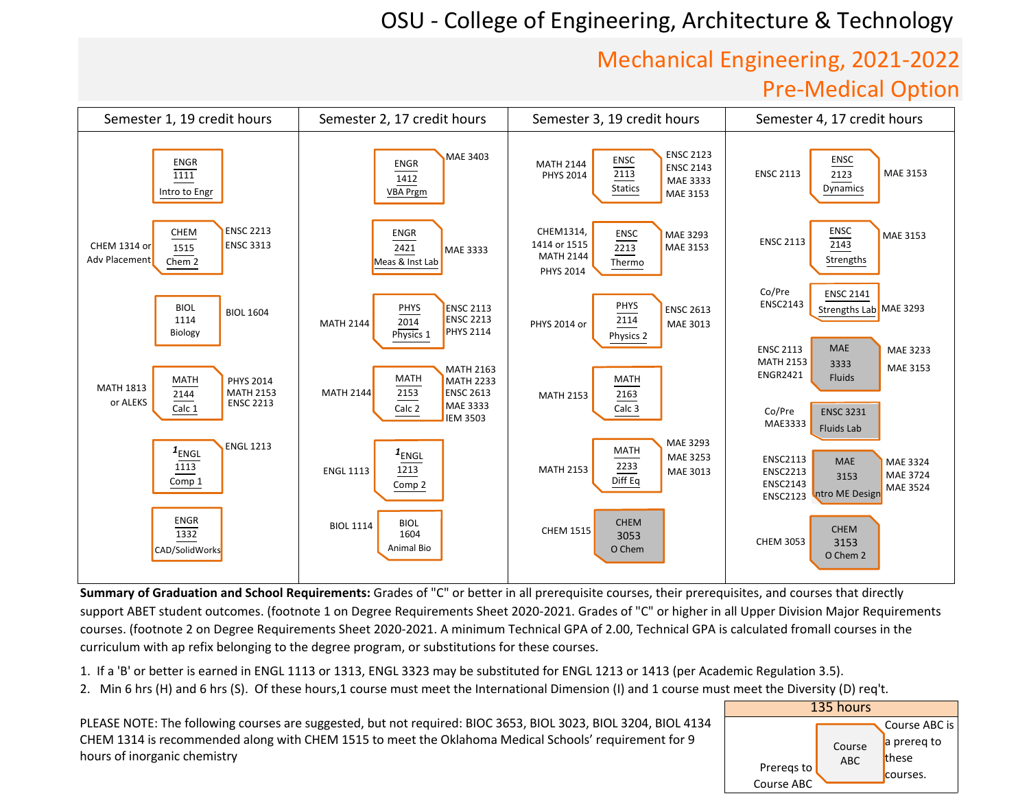## Mechanical Engineering, 2021‐2022Pre-Medical Option



**Summary of Graduation and School Requirements:** Grades of "C" or better in all prerequisite courses, their prerequisites, and courses that directly support ABET student outcomes. (footnote 1 on Degree Requirements Sheet 2020-2021. Grades of "C" or higher in all Upper Division Major Requirements courses. (footnote 2 on Degree Requirements Sheet 2020-2021. A minimum Technical GPA of 2.00, Technical GPA is calculated fromall courses in the curriculum with ap refix belonging to the degree program, or substitutions for these courses.

1. If a 'B' or better is earned in ENGL 1113 or 1313, ENGL 3323 may be substituted for ENGL 1213 or 1413 (per Academic Regulation 3.5).

2. Min 6 hrs (H) and 6 hrs (S). Of these hours,1 course must meet the International Dimension (I) and 1 course must meet the Diversity (D) req't.

PLEASE NOTE: The following courses are suggested, but not required: BIOC 3653, BIOL 3023, BIOL 3204, BIOL 4134CHEM 1314 is recommended along with CHEM 1515 to meet the Oklahoma Medical Schools' requirement for 9 hours of inorganic chemistry